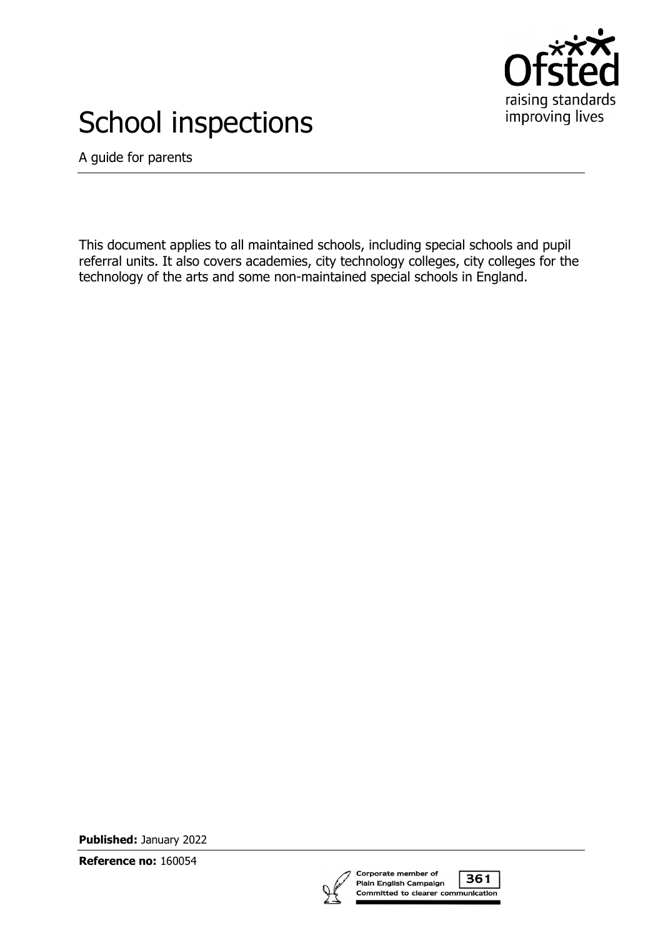

# School inspections

A guide for parents

This document applies to all maintained schools, including special schools and pupil referral units. It also covers academies, city technology colleges, city colleges for the technology of the arts and some non-maintained special schools in England.

**Published:** January 2022

**Reference no:** 160054

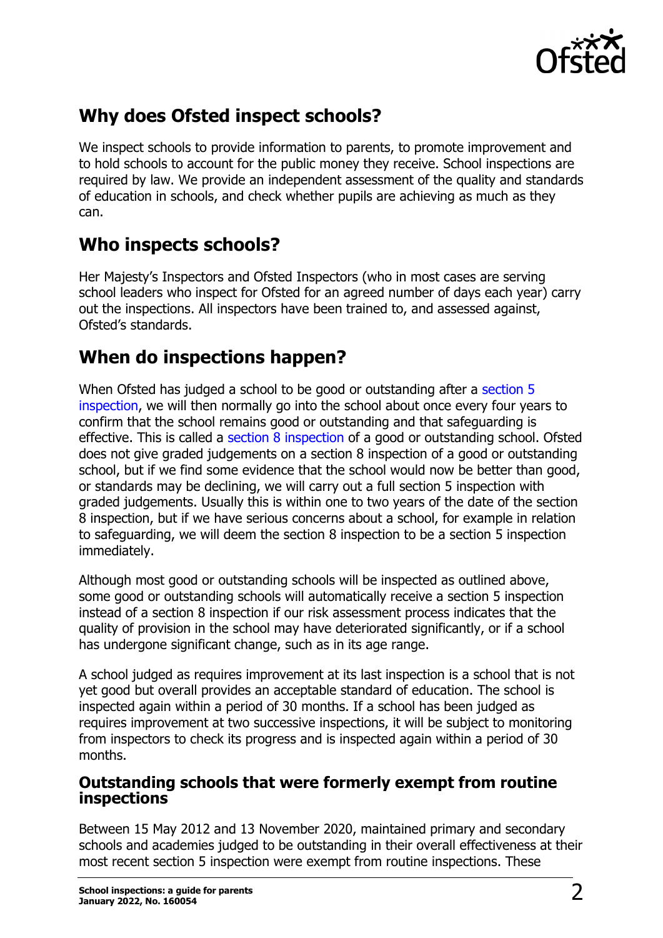

# **Why does Ofsted inspect schools?**

We inspect schools to provide information to parents, to promote improvement and to hold schools to account for the public money they receive. School inspections are required by law. We provide an independent assessment of the quality and standards of education in schools, and check whether pupils are achieving as much as they can.

#### **Who inspects schools?**

Her Majesty's Inspectors and Ofsted Inspectors (who in most cases are serving school leaders who inspect for Ofsted for an agreed number of days each year) carry out the inspections. All inspectors have been trained to, and assessed against, Ofsted's standards.

# **When do inspections happen?**

When Ofsted has judged a school to be good or outstanding after a [section 5](https://www.legislation.gov.uk/ukpga/2005/18/section/5)  [inspection,](https://www.legislation.gov.uk/ukpga/2005/18/section/5) we will then normally go into the school about once every four years to confirm that the school remains good or outstanding and that safeguarding is effective. This is called a [section 8 inspection](https://www.legislation.gov.uk/ukpga/2005/18/section/8) of a good or outstanding school. Ofsted does not give graded judgements on a section 8 inspection of a good or outstanding school, but if we find some evidence that the school would now be better than good, or standards may be declining, we will carry out a full section 5 inspection with graded judgements. Usually this is within one to two years of the date of the section 8 inspection, but if we have serious concerns about a school, for example in relation to safeguarding, we will deem the section 8 inspection to be a section 5 inspection immediately.

Although most good or outstanding schools will be inspected as outlined above, some good or outstanding schools will automatically receive a section 5 inspection instead of a section 8 inspection if our risk assessment process indicates that the quality of provision in the school may have deteriorated significantly, or if a school has undergone significant change, such as in its age range.

A school judged as requires improvement at its last inspection is a school that is not yet good but overall provides an acceptable standard of education. The school is inspected again within a period of 30 months. If a school has been judged as requires improvement at two successive inspections, it will be subject to monitoring from inspectors to check its progress and is inspected again within a period of 30 months.

#### **Outstanding schools that were formerly exempt from routine inspections**

Between 15 May 2012 and 13 November 2020, maintained primary and secondary schools and academies judged to be outstanding in their overall effectiveness at their most recent section 5 inspection were exempt from routine inspections. These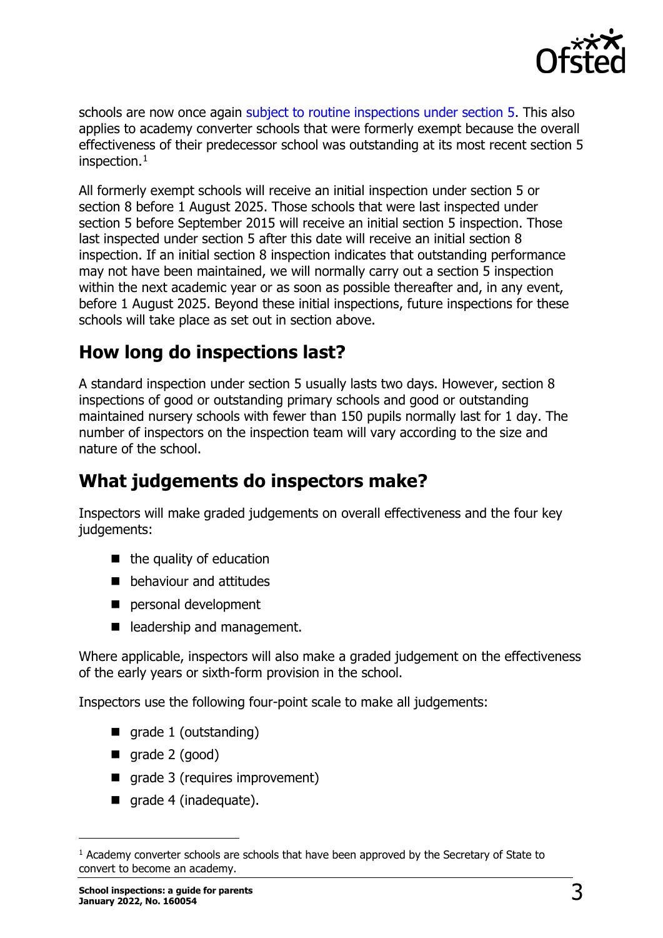

schools are now once again [subject to routine inspections under section 5.](https://www.legislation.gov.uk/uksi/2020/1258/made) This also applies to academy converter schools that were formerly exempt because the overall effectiveness of their predecessor school was outstanding at its most recent section 5 inspection. $1$ 

All formerly exempt schools will receive an initial inspection under section 5 or section 8 before 1 August 2025. Those schools that were last inspected under section 5 before September 2015 will receive an initial section 5 inspection. Those last inspected under section 5 after this date will receive an initial section 8 inspection. If an initial section 8 inspection indicates that outstanding performance may not have been maintained, we will normally carry out a section 5 inspection within the next academic year or as soon as possible thereafter and, in any event, before 1 August 2025. Beyond these initial inspections, future inspections for these schools will take place as set out in section above.

# **How long do inspections last?**

A standard inspection under section 5 usually lasts two days. However, section 8 inspections of good or outstanding primary schools and good or outstanding maintained nursery schools with fewer than 150 pupils normally last for 1 day. The number of inspectors on the inspection team will vary according to the size and nature of the school.

# **What judgements do inspectors make?**

Inspectors will make graded judgements on overall effectiveness and the four key judgements:

- $\blacksquare$  the quality of education
- **behaviour and attitudes**
- personal development
- eladership and management.

Where applicable, inspectors will also make a graded judgement on the effectiveness of the early years or sixth-form provision in the school.

Inspectors use the following four-point scale to make all judgements:

- **grade 1 (outstanding)**
- $\Box$  grade 2 (good)
- qrade 3 (requires improvement)
- qrade 4 (inadequate).

<span id="page-2-0"></span><sup>&</sup>lt;sup>1</sup> Academy converter schools are schools that have been approved by the Secretary of State to convert to become an academy.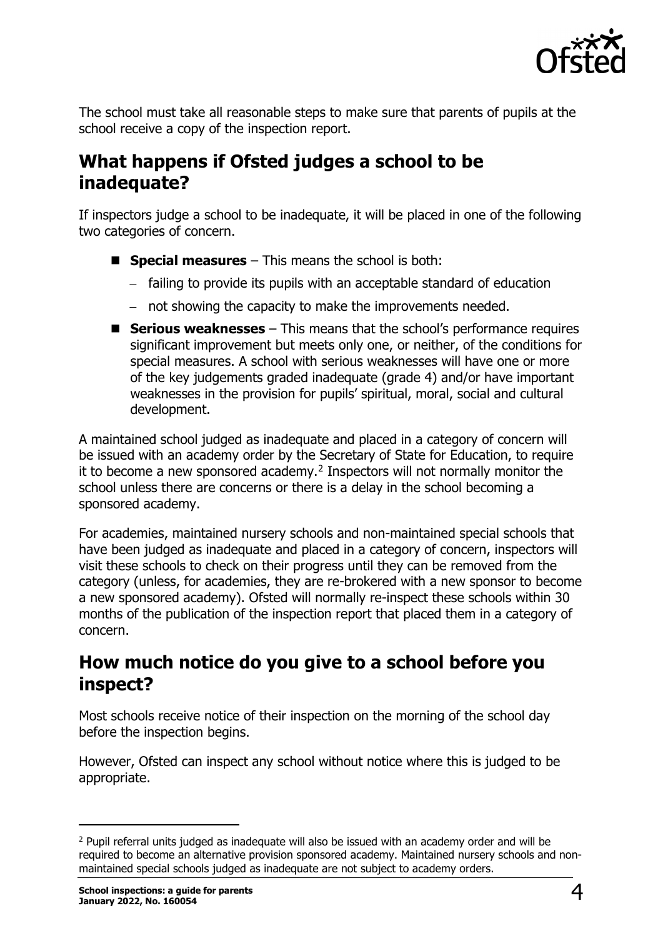

The school must take all reasonable steps to make sure that parents of pupils at the school receive a copy of the inspection report.

#### **What happens if Ofsted judges a school to be inadequate?**

If inspectors judge a school to be inadequate, it will be placed in one of the following two categories of concern.

- **Special measures** This means the school is both:
	- − failing to provide its pupils with an acceptable standard of education
	- − not showing the capacity to make the improvements needed.
- **Serious weaknesses** This means that the school's performance requires significant improvement but meets only one, or neither, of the conditions for special measures. A school with serious weaknesses will have one or more of the key judgements graded inadequate (grade 4) and/or have important weaknesses in the provision for pupils' spiritual, moral, social and cultural development.

A maintained school judged as inadequate and placed in a category of concern will be issued with an academy order by the Secretary of State for Education, to require it to become a new sponsored academy.<sup>[2](#page-3-0)</sup> Inspectors will not normally monitor the school unless there are concerns or there is a delay in the school becoming a sponsored academy.

For academies, maintained nursery schools and non-maintained special schools that have been judged as inadequate and placed in a category of concern, inspectors will visit these schools to check on their progress until they can be removed from the category (unless, for academies, they are re-brokered with a new sponsor to become a new sponsored academy). Ofsted will normally re-inspect these schools within 30 months of the publication of the inspection report that placed them in a category of concern.

#### **How much notice do you give to a school before you inspect?**

Most schools receive notice of their inspection on the morning of the school day before the inspection begins.

However, Ofsted can inspect any school without notice where this is judged to be appropriate.

<span id="page-3-0"></span><sup>&</sup>lt;sup>2</sup> Pupil referral units judged as inadequate will also be issued with an academy order and will be required to become an alternative provision sponsored academy. Maintained nursery schools and nonmaintained special schools judged as inadequate are not subject to academy orders.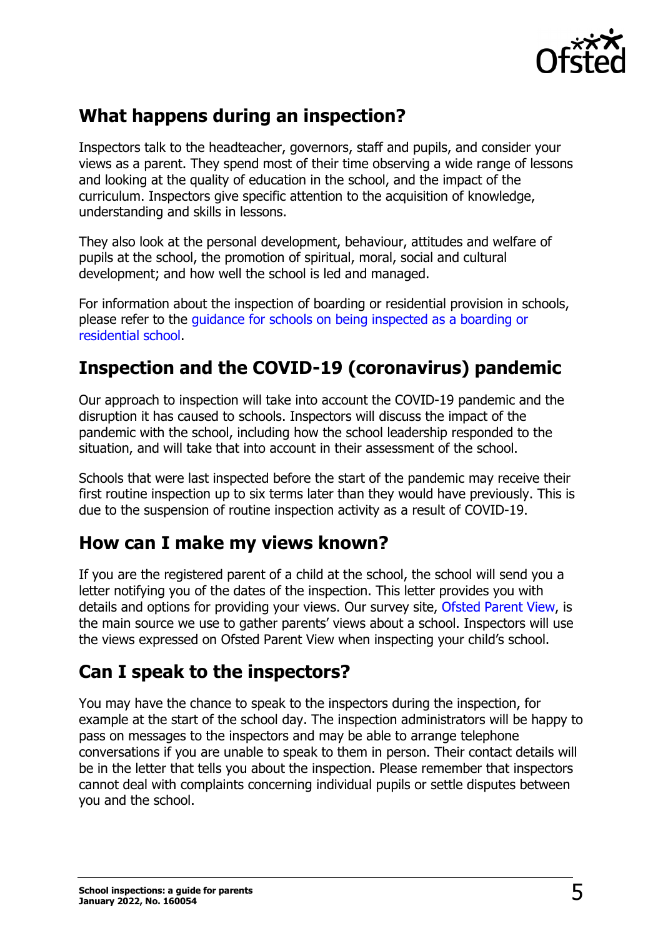

# **What happens during an inspection?**

Inspectors talk to the headteacher, governors, staff and pupils, and consider your views as a parent. They spend most of their time observing a wide range of lessons and looking at the quality of education in the school, and the impact of the curriculum. Inspectors give specific attention to the acquisition of knowledge, understanding and skills in lessons.

They also look at the personal development, behaviour, attitudes and welfare of pupils at the school, the promotion of spiritual, moral, social and cultural development; and how well the school is led and managed.

For information about the inspection of boarding or residential provision in schools, please refer to the [guidance for schools on being inspected as a boarding or](http://www.gov.uk/guidance/social-care-common-inspection-framework-sccif-boarding-schools)  [residential school.](http://www.gov.uk/guidance/social-care-common-inspection-framework-sccif-boarding-schools)

## **Inspection and the COVID-19 (coronavirus) pandemic**

Our approach to inspection will take into account the COVID-19 pandemic and the disruption it has caused to schools. Inspectors will discuss the impact of the pandemic with the school, including how the school leadership responded to the situation, and will take that into account in their assessment of the school.

Schools that were last inspected before the start of the pandemic may receive their first routine inspection up to six terms later than they would have previously. This is due to the suspension of routine inspection activity as a result of COVID-19.

#### **How can I make my views known?**

If you are the registered parent of a child at the school, the school will send you a letter notifying you of the dates of the inspection. This letter provides you with details and options for providing your views. Our survey site, [Ofsted Parent View,](https://parentview.ofsted.gov.uk/) is the main source we use to gather parents' views about a school. Inspectors will use the views expressed on Ofsted Parent View when inspecting your child's school.

#### **Can I speak to the inspectors?**

You may have the chance to speak to the inspectors during the inspection, for example at the start of the school day. The inspection administrators will be happy to pass on messages to the inspectors and may be able to arrange telephone conversations if you are unable to speak to them in person. Their contact details will be in the letter that tells you about the inspection. Please remember that inspectors cannot deal with complaints concerning individual pupils or settle disputes between you and the school.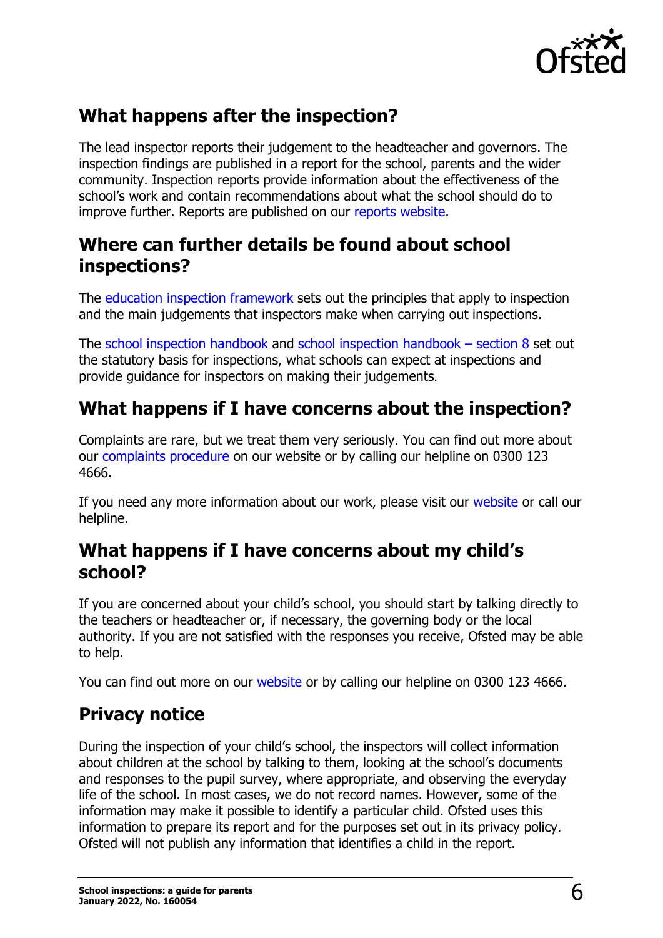

# **What happens after the inspection?**

The lead inspector reports their judgement to the headteacher and governors. The inspection findings are published in a report for the school, parents and the wider community. Inspection reports provide information about the effectiveness of the school's work and contain recommendations about what the school should do to improve further. Reports are published on our [reports website.](http://reports.ofsted.gov.uk/)

#### **Where can further details be found about school inspections?**

The education [inspection framework](http://www.gov.uk/government/publications/education-inspection-framework) sets out the principles that apply to inspection and the main judgements that inspectors make when carrying out inspections.

The school [inspection handbook](http://www.gov.uk/government/publications/school-inspection-handbook-eif) and school [inspection handbook –](http://www.gov.uk/government/publications/section-8-school-inspection-handbook-eif) section 8 set out the statutory basis for inspections, what schools can expect at inspections and provide guidance for inspectors on making their judgements.

## **What happens if I have concerns about the inspection?**

Complaints are rare, but we treat them very seriously. You can find out more about our [complaints procedure](https://www.gov.uk/government/organisations/ofsted/about/complaints-procedure) on our website or by calling our helpline on 0300 123 4666.

If you need any more information about our work, please visit our [website](http://www.gov.uk/government/organisations/ofsted) or call our helpline.

#### **What happens if I have concerns about my child's school?**

If you are concerned about your child's school, you should start by talking directly to the teachers or headteacher or, if necessary, the governing body or the local authority. If you are not satisfied with the responses you receive, Ofsted may be able to help.

You can find out more on our [website](http://www.gov.uk/government/organisations/ofsted/about/complaints-procedure) or by calling our helpline on 0300 123 4666.

# **Privacy notice**

During the inspection of your child's school, the inspectors will collect information about children at the school by talking to them, looking at the school's documents and responses to the pupil survey, where appropriate, and observing the everyday life of the school. In most cases, we do not record names. However, some of the information may make it possible to identify a particular child. Ofsted uses this information to prepare its report and for the purposes set out in its privacy policy. Ofsted will not publish any information that identifies a child in the report.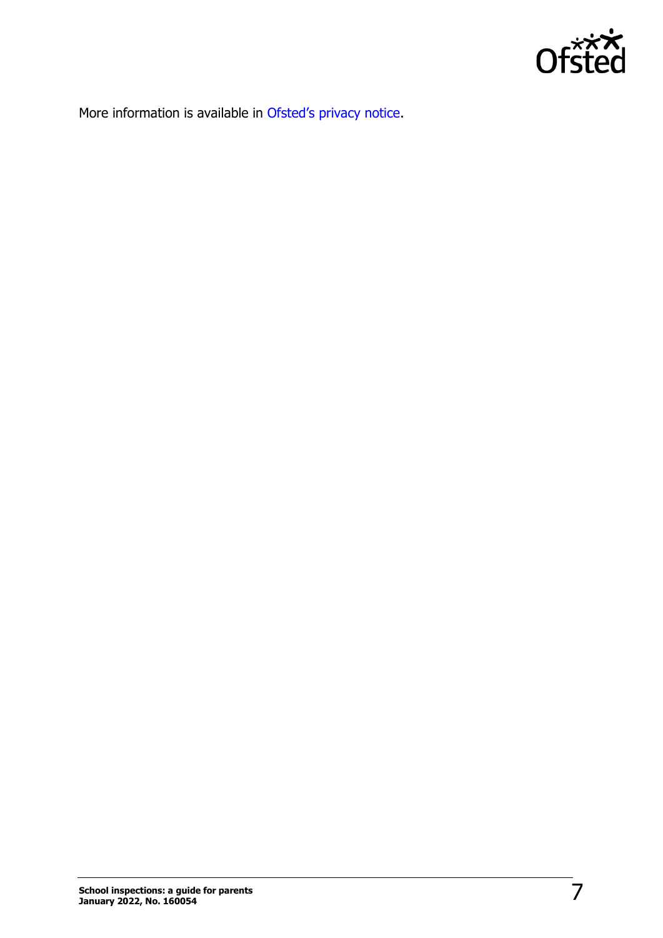

More information is available in [Ofsted's privacy](https://www.gov.uk/government/publications/ofsted-privacy-notices/schools-ofsted-privacy-notice#parent-school) notice.